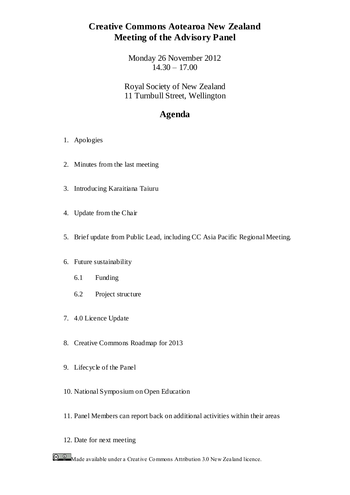# **Creative Commons Aotearoa New Zealand Meeting of the Advisory Panel**

Monday 26 November 2012  $14.30 - 17.00$ 

Royal Society of New Zealand 11 Turnbull Street, Wellington

# **Agenda**

- 1. Apologies
- 2. Minutes from the last meeting
- 3. Introducing Karaitiana Taiuru
- 4. Update from the Chair
- 5. Brief update from Public Lead, including CC Asia Pacific Regional Meeting.
- 6. Future sustainability
	- 6.1 Funding
	- 6.2 Project structure
- 7. 4.0 Licence Update
- 8. Creative Commons Roadmap for 2013
- 9. Lifecycle of the Panel
- 10. National Symposium on Open Education
- 11. Panel Members can report back on additional activities within their areas
- 12. Date for next meeting

**C C Made available under a Creative Commons Attribution 3.0 New Zealand licence.**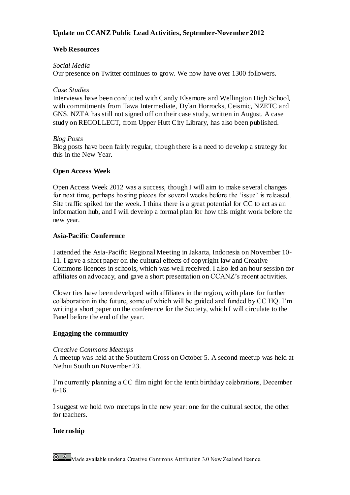### **Update on CCANZ Public Lead Activities, September-November 2012**

#### **Web Resources**

#### *Social Media*

Our presence on Twitter continues to grow. We now have over 1300 followers.

#### *Case Studies*

Interviews have been conducted with Candy Elsemore and Wellington High School, with commitments from Tawa Intermediate, Dylan Horrocks, Ceismic, NZETC and GNS. NZTA has still not signed off on their case study, written in August. A case study on RECOLLECT, from Upper Hutt City Library, has also been published.

#### *Blog Posts*

Blog posts have been fairly regular, though there is a need to develop a strategy for this in the New Year.

#### **Open Access Week**

Open Access Week 2012 was a success, though I will aim to make several changes for next time, perhaps hosting pieces for several weeks before the 'issue' is released. Site traffic spiked for the week. I think there is a great potential for CC to act as an information hub, and I will develop a formal plan for how this might work before the new year.

#### **Asia-Pacific Conference**

I attended the Asia-Pacific Regional Meeting in Jakarta, Indonesia on November 10- 11. I gave a short paper on the cultural effects of copyright law and Creative Commons licences in schools, which was well received. I also led an hour session for affiliates on advocacy, and gave a short presentation on CCANZ's recent activities.

Closer ties have been developed with affiliates in the region, with plans for further collaboration in the future, some of which will be guided and funded by CC HQ. I'm writing a short paper on the conference for the Society, which I will circulate to the Panel before the end of the year.

#### **Engaging the community**

#### *Creative Commons Meetups*

A meetup was held at the Southern Cross on October 5. A second meetup was held at Nethui South on November 23.

I'm currently planning a CC film night for the tenth birthday celebrations, December 6-16.

I suggest we hold two meetups in the new year: one for the cultural sector, the other for teachers.

#### **Internship**

**C**  $\bullet$  Made available under a Creative Commons Attribution 3.0 New Zealand licence.